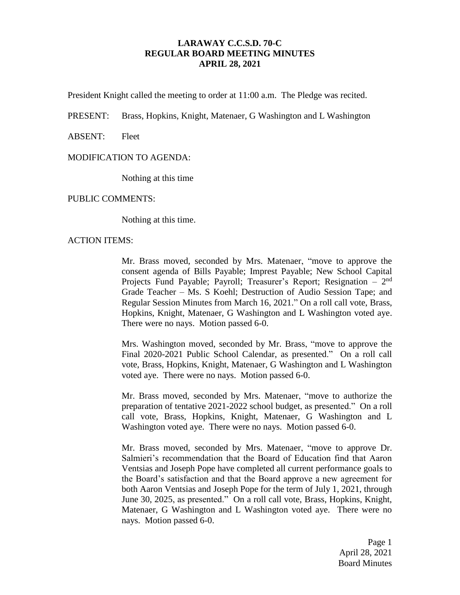# **LARAWAY C.C.S.D. 70-C REGULAR BOARD MEETING MINUTES APRIL 28, 2021**

President Knight called the meeting to order at 11:00 a.m. The Pledge was recited.

PRESENT: Brass, Hopkins, Knight, Matenaer, G Washington and L Washington

ABSENT: Fleet

## MODIFICATION TO AGENDA:

Nothing at this time

PUBLIC COMMENTS:

Nothing at this time.

ACTION ITEMS:

Mr. Brass moved, seconded by Mrs. Matenaer, "move to approve the consent agenda of Bills Payable; Imprest Payable; New School Capital Projects Fund Payable; Payroll; Treasurer's Report; Resignation – 2<sup>nd</sup> Grade Teacher – Ms. S Koehl; Destruction of Audio Session Tape; and Regular Session Minutes from March 16, 2021." On a roll call vote, Brass, Hopkins, Knight, Matenaer, G Washington and L Washington voted aye. There were no nays. Motion passed 6-0.

Mrs. Washington moved, seconded by Mr. Brass, "move to approve the Final 2020-2021 Public School Calendar, as presented." On a roll call vote, Brass, Hopkins, Knight, Matenaer, G Washington and L Washington voted aye. There were no nays. Motion passed 6-0.

Mr. Brass moved, seconded by Mrs. Matenaer, "move to authorize the preparation of tentative 2021-2022 school budget, as presented." On a roll call vote, Brass, Hopkins, Knight, Matenaer, G Washington and L Washington voted aye. There were no nays. Motion passed 6-0.

Mr. Brass moved, seconded by Mrs. Matenaer, "move to approve Dr. Salmieri's recommendation that the Board of Education find that Aaron Ventsias and Joseph Pope have completed all current performance goals to the Board's satisfaction and that the Board approve a new agreement for both Aaron Ventsias and Joseph Pope for the term of July 1, 2021, through June 30, 2025, as presented." On a roll call vote, Brass, Hopkins, Knight, Matenaer, G Washington and L Washington voted aye. There were no nays. Motion passed 6-0.

> Page 1 April 28, 2021 Board Minutes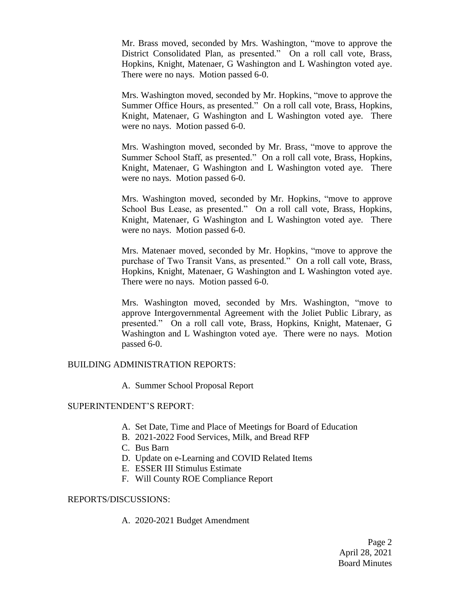Mr. Brass moved, seconded by Mrs. Washington, "move to approve the District Consolidated Plan, as presented." On a roll call vote, Brass, Hopkins, Knight, Matenaer, G Washington and L Washington voted aye. There were no nays. Motion passed 6-0.

Mrs. Washington moved, seconded by Mr. Hopkins, "move to approve the Summer Office Hours, as presented." On a roll call vote, Brass, Hopkins, Knight, Matenaer, G Washington and L Washington voted aye. There were no nays. Motion passed 6-0.

Mrs. Washington moved, seconded by Mr. Brass, "move to approve the Summer School Staff, as presented." On a roll call vote, Brass, Hopkins, Knight, Matenaer, G Washington and L Washington voted aye. There were no nays. Motion passed 6-0.

Mrs. Washington moved, seconded by Mr. Hopkins, "move to approve School Bus Lease, as presented." On a roll call vote, Brass, Hopkins, Knight, Matenaer, G Washington and L Washington voted aye. There were no nays. Motion passed 6-0.

Mrs. Matenaer moved, seconded by Mr. Hopkins, "move to approve the purchase of Two Transit Vans, as presented." On a roll call vote, Brass, Hopkins, Knight, Matenaer, G Washington and L Washington voted aye. There were no nays. Motion passed 6-0.

Mrs. Washington moved, seconded by Mrs. Washington, "move to approve Intergovernmental Agreement with the Joliet Public Library, as presented." On a roll call vote, Brass, Hopkins, Knight, Matenaer, G Washington and L Washington voted aye. There were no nays. Motion passed 6-0.

#### BUILDING ADMINISTRATION REPORTS:

A. Summer School Proposal Report

#### SUPERINTENDENT'S REPORT:

- A. Set Date, Time and Place of Meetings for Board of Education
- B. 2021-2022 Food Services, Milk, and Bread RFP
- C. Bus Barn
- D. Update on e-Learning and COVID Related Items
- E. ESSER III Stimulus Estimate
- F. Will County ROE Compliance Report

#### REPORTS/DISCUSSIONS:

A. 2020-2021 Budget Amendment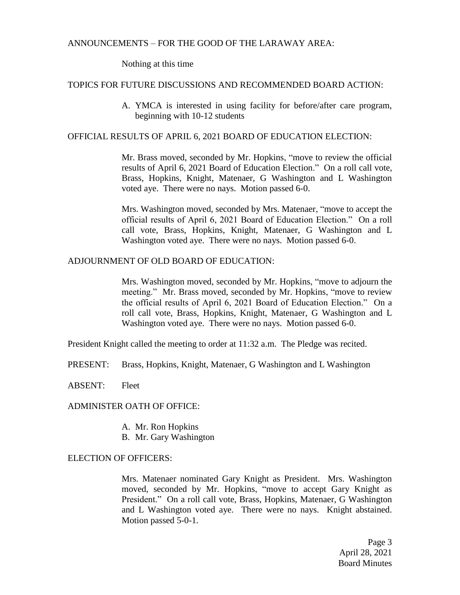## ANNOUNCEMENTS – FOR THE GOOD OF THE LARAWAY AREA:

Nothing at this time

## TOPICS FOR FUTURE DISCUSSIONS AND RECOMMENDED BOARD ACTION:

A. YMCA is interested in using facility for before/after care program, beginning with 10-12 students

## OFFICIAL RESULTS OF APRIL 6, 2021 BOARD OF EDUCATION ELECTION:

Mr. Brass moved, seconded by Mr. Hopkins, "move to review the official results of April 6, 2021 Board of Education Election." On a roll call vote, Brass, Hopkins, Knight, Matenaer, G Washington and L Washington voted aye. There were no nays. Motion passed 6-0.

Mrs. Washington moved, seconded by Mrs. Matenaer, "move to accept the official results of April 6, 2021 Board of Education Election." On a roll call vote, Brass, Hopkins, Knight, Matenaer, G Washington and L Washington voted aye. There were no nays. Motion passed 6-0.

## ADJOURNMENT OF OLD BOARD OF EDUCATION:

Mrs. Washington moved, seconded by Mr. Hopkins, "move to adjourn the meeting." Mr. Brass moved, seconded by Mr. Hopkins, "move to review the official results of April 6, 2021 Board of Education Election." On a roll call vote, Brass, Hopkins, Knight, Matenaer, G Washington and L Washington voted aye. There were no nays. Motion passed 6-0.

President Knight called the meeting to order at 11:32 a.m. The Pledge was recited.

PRESENT: Brass, Hopkins, Knight, Matenaer, G Washington and L Washington

ABSENT: Fleet

#### ADMINISTER OATH OF OFFICE:

- A. Mr. Ron Hopkins
- B. Mr. Gary Washington

## ELECTION OF OFFICERS:

Mrs. Matenaer nominated Gary Knight as President. Mrs. Washington moved, seconded by Mr. Hopkins, "move to accept Gary Knight as President." On a roll call vote, Brass, Hopkins, Matenaer, G Washington and L Washington voted aye. There were no nays. Knight abstained. Motion passed 5-0-1.

> Page 3 April 28, 2021 Board Minutes